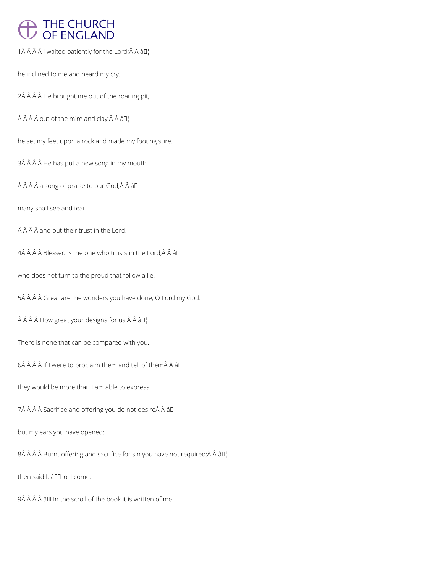# THE CHURCH<br>OF ENGLAND

1 $\hat{A}$   $\hat{A}$   $\hat{A}$   $\hat{A}$  l waited patiently for the Lord; $\hat{A}$   $\hat{A}$   $\hat{a}$   $\Box$ 

he inclined to me and heard my cry.

2Â Â Â Â He brought me out of the roaring pit,

 $\hat{A}$   $\hat{A}$   $\hat{A}$  out of the mire and clay; $\hat{A}$   $\hat{A}$   $\hat{a}$  $\Pi$ <sub>1</sub>

he set my feet upon a rock and made my footing sure.

3Â Â Â Â He has put a new song in my mouth,

 $\hat{A}$   $\hat{A}$   $\hat{A}$  a song of praise to our God; $\hat{A}$   $\hat{A}$   $\hat{a}$   $\Box$ 

many shall see and fear

 $\hat{A}$   $\hat{A}$   $\hat{A}$  and put their trust in the Lord.

 $4\hat{A}$   $\hat{A}$   $\hat{A}$   $\hat{B}$  Blessed is the one who trusts in the Lord, $\hat{A}$   $\hat{A}$   $\hat{B}$  $I$ <sub>1</sub>

who does not turn to the proud that follow a lie.

5Â Â Â Â Great are the wonders you have done, O Lord my God.

 $\hat{A}$   $\hat{A}$   $\hat{A}$   $\hat{A}$  How great your designs for us! $\hat{A}$   $\hat{A}$   $\hat{a}$   $\Box$ 

There is none that can be compared with you.

 $6\hat{A}$   $\hat{A}$   $\hat{A}$  if I were to proclaim them and tell of them $\hat{A}$   $\hat{A}$   $\hat{a}$   $\Box$ 

they would be more than I am able to express.

 $7\hat{A}$   $\hat{A}$   $\hat{A}$   $\hat{A}$  Sacrifice and offering you do not desire $\hat{A}$   $\hat{A}$   $\hat{B}$ 

# but my ears you have opened;

 $8\hat{A}$   $\hat{A}$   $\hat{A}$  Burnt offering and sacrifice for sin you have not required;  $\hat{A}$   $\hat{A}$   $\hat{B}$  $\Gamma$ 

then said I: âDDLo, I come.

9Â Â Â Â â D In the scroll of the book it is written of me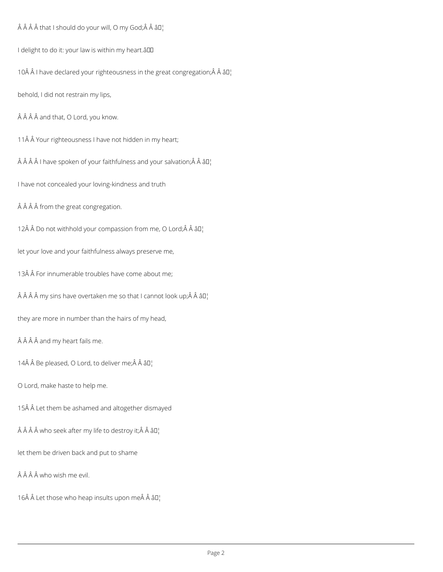Â Â Â that I should do your will, O my God;Â Â â []

I delight to do it: your law is within my heart.âll

10Â Â I have declared your righteousness in the great congregation;Â Â â []

behold, I did not restrain my lips,

Â Â Â and that, O Lord, you know.

11Â Â Your righteousness I have not hidden in my heart;

Â Â Â I have spoken of your faithfulness and your salvation; Â Â â D¦

I have not concealed your loving-kindness and truth

Â Â Â from the great congregation.

12Â Â Do not withhold your compassion from me, O Lord;Â Â â []

let your love and your faithfulness always preserve me,

13Â Â For innumerable troubles have come about me;

Â Â Â my sins have overtaken me so that I cannot look up; Â Â â D¦

they are more in number than the hairs of my head,

Â Â Â and my heart fails me.

14Â Â Be pleased, O Lord, to deliver me;Â Â â []

O Lord, make haste to help me.

15Â Â Let them be ashamed and altogether dismayed

Â Â Â who seek after my life to destroy it; Â Â â []

let them be driven back and put to shame

ÂÂÂÂ who wish me evil.

16 Let those who heap insults upon me Â â []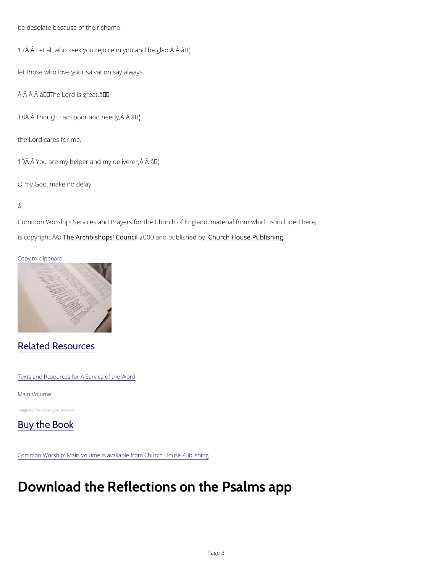be desolate because of their shame.

17 $\hat{A}$   $\hat{A}$  Let all who seek you rejoice ian  $w_i$  ou and be glad;  $\hat{A}$   $\hat{A}$ 

let those who love your salvation say always,

 $\hat{A}$   $\hat{A}$   $\hat{A}$   $\hat{A}$   $\hat{a}$   $\in$  The Lord is great.  $\hat{a}$   $\in$  TM

18 Â Â Though I am poor aan M'needy, Â Â

the Lord cares for me.

19 Å Å You are my helper and  $\hat{a}$ m<sup>n</sup>y' deliverer;  $\hat{A}$  Å

O my God, make no delay.

### Â

Common Worship: Services and Prayers for the Church of England, material from which is inc is copyrighth  $\hat{\mathbb{A}}\otimes \mathbb{A}$  rchbishops' 2000 whand publish head roby House Publishing

## Copy to clipboard

# Related Resources

Texts and Resources for A Service of the Word

#### Main Volume

Image not found or type unknown



Common Worship: Main Volume is available from Church House Publishing

# Download the Reflections on the Psalms a